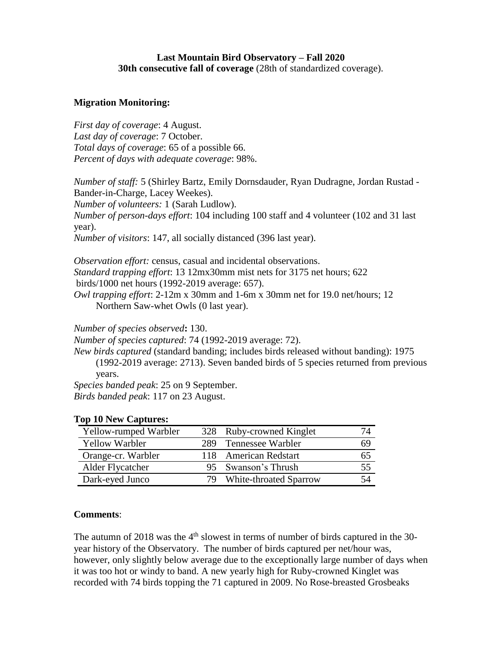## **Last Mountain Bird Observatory – Fall 2020 30th consecutive fall of coverage** (28th of standardized coverage).

## **Migration Monitoring:**

*First day of coverage*: 4 August. *Last day of coverage*: 7 October. *Total days of coverage*: 65 of a possible 66. *Percent of days with adequate coverage*: 98%.

*Number of staff:* 5 (Shirley Bartz, Emily Dornsdauder, Ryan Dudragne, Jordan Rustad - Bander-in-Charge, Lacey Weekes).

*Number of volunteers:* 1 (Sarah Ludlow).

*Number of person-days effort*: 104 including 100 staff and 4 volunteer (102 and 31 last year).

*Number of visitors*: 147, all socially distanced (396 last year).

*Observation effort:* census, casual and incidental observations. *Standard trapping effort*: 13 12mx30mm mist nets for 3175 net hours; 622 birds/1000 net hours (1992-2019 average: 657). *Owl trapping effort*: 2-12m x 30mm and 1-6m x 30mm net for 19.0 net/hours; 12

Northern Saw-whet Owls (0 last year).

*Number of species observed***:** 130.

*Number of species captured*: 74 (1992-2019 average: 72).

*New birds captured* (standard banding; includes birds released without banding): 1975 (1992-2019 average: 2713). Seven banded birds of 5 species returned from previous years.

*Species banded peak*: 25 on 9 September.

*Birds banded peak*: 117 on 23 August.

| Yellow-rumped Warbler | 328 Ruby-crowned Kinglet  |    |
|-----------------------|---------------------------|----|
| Yellow Warbler        | 289 Tennessee Warbler     | 69 |
| Orange-cr. Warbler    | 118 American Redstart     | რა |
| Alder Flycatcher      | 95 Swanson's Thrush       | 55 |
| Dark-eyed Junco       | 79 White-throated Sparrow | 54 |

## **Top 10 New Captures:**

## **Comments**:

The autumn of  $2018$  was the  $4<sup>th</sup>$  slowest in terms of number of birds captured in the 30year history of the Observatory. The number of birds captured per net/hour was, however, only slightly below average due to the exceptionally large number of days when it was too hot or windy to band. A new yearly high for Ruby-crowned Kinglet was recorded with 74 birds topping the 71 captured in 2009. No Rose-breasted Grosbeaks